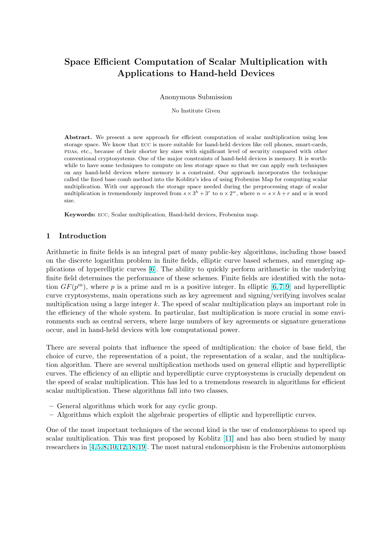# Space Efficient Computation of Scalar Multiplication with Applications to Hand-held Devices

#### Anonymous Submission

No Institute Given

Abstract. We present a new approach for efficient computation of scalar multiplication using less storage space. We know that ecc is more suitable for hand-held devices like cell phones, smart-cards, pdas, etc., because of their shorter key sizes with significant level of security compared with other conventional cryptosystems. One of the major constraints of hand-held devices is memory. It is worthwhile to have some techniques to compute on less storage space so that we can apply such techniques on any hand-held devices where memory is a constraint. Our approach incorporates the technique called the fixed base comb method into the Koblitz's idea of using Frobenius Map for computing scalar multiplication. With our approach the storage space needed during the preprocessing stage of scalar multiplication is tremendously improved from  $s \times 3^h + 3^r$  to  $n \times 2^w$ , where  $n = s \times h + r$  and w is word size.

Keywords: ecc, Scalar multiplication, Hand-held devices, Frobenius map.

## 1 Introduction

Arithmetic in finite fields is an integral part of many public-key algorithms, including those based on the discrete logarithm problem in finite fields, elliptic curve based schemes, and emerging applications of hyperelliptic curves [6]. The ability to quickly perform arithmetic in the underlying finite field determines the performance of these schemes. Finite fields are identified with the notation  $GF(p^m)$ , where p is a prime and m is a positive integer. In elliptic [6,7,9] and hyperelliptic curve cryptosystems, main operations such as key agreement and signing/verifying involves scalar multiplication using a la[r](#page-9-0)ge integer k. The speed of scalar multiplication plays an important role in the efficiency of the whole system. In particular, fast multiplication is more crucial in some environments such as central servers, where large numbers of key agreements [or sign](#page-9-0)ature generations occur, and in hand-held devices with low computational power.

There are several points that influence the speed of multiplication: the choice of base field, the choice of curve, the representation of a point, the representation of a scalar, and the multiplication algorithm. There are several multiplication methods used on general elliptic and hyperelliptic curves. The efficiency of an elliptic and hyperelliptic curve cryptosystems is crucially dependent on the speed of scalar multiplication. This has led to a tremendous research in algorithms for efficient scalar multiplication. These algorithms fall into two classes.

- General algorithms which work for any cyclic group.
- Algorithms which exploit the algebraic properties of elliptic and hyperelliptic curves.

One of the most important techniques of the second kind is the use of endomorphisms to speed up scalar multiplication. This was first proposed by Koblitz [11] and has also been studied by many researchers in [4,5,8,10,12,18,19]. The most natural endomorphism is the Frobenius automorphism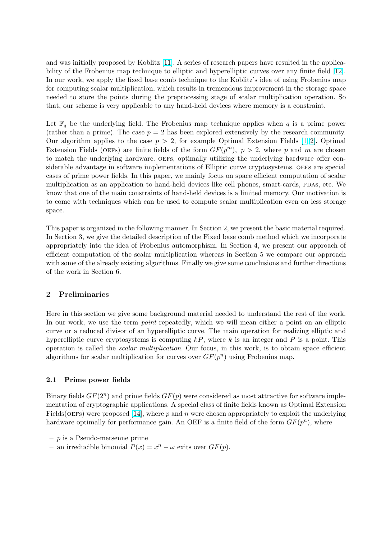and was initially proposed by Koblitz [11]. A series of research papers have resulted in the applicability of the Frobenius map technique to elliptic and hyperelliptic curves over any finite field [12]. In our work, we apply the fixed base comb technique to the Koblitz's idea of using Frobenius map for computing scalar multiplication, which results in tremendous improvement in the storage space needed to store the points during th[e pr](#page-9-0)eprocessing stage of scalar multiplication operation[. So](#page-9-0) that, our scheme is very applicable to any hand-held devices where memory is a constraint.

Let  $\mathbb{F}_q$  be the underlying field. The Frobenius map technique applies when q is a prime power (rather than a prime). The case  $p = 2$  has been explored extensively by the research community. Our algorithm applies to the case  $p > 2$ , for example Optimal Extension Fields [1, 2]. Optimal Extension Fields (OEFs) are finite fields of the form  $GF(p^m)$ ,  $p > 2$ , where p and m are chosen to match the underlying hardware. oefs, optimally utilizing the underlying hardware offer considerable advantage in software implementations of Elliptic curve cryptosystems. OEFs are special cases of prime power fields. In this paper, we mainly focus on space efficient comput[ation](#page-9-0) of scalar multiplication as an application to hand-held devices like cell phones, smart-cards, PDAs, etc. We know that one of the main constraints of hand-held devices is a limited memory. Our motivation is to come with techniques which can be used to compute scalar multiplication even on less storage space.

This paper is organized in the following manner. In Section 2, we present the basic material required. In Section 3, we give the detailed description of the Fixed base comb method which we incorporate appropriately into the idea of Frobenius automorphism. In Section 4, we present our approach of efficient computation of the scalar multiplication whereas in Section 5 we compare our approach with some of the already existing algorithms. Finally we give some conclusions and further directions of the work in Section 6.

## 2 Preliminaries

Here in this section we give some background material needed to understand the rest of the work. In our work, we use the term *point* repeatedly, which we will mean either a point on an elliptic curve or a reduced divisor of an hyperelliptic curve. The main operation for realizing elliptic and hyperelliptic curve cryptosystems is computing  $kP$ , where k is an integer and P is a point. This operation is called the scalar multiplication. Our focus, in this work, is to obtain space efficient algorithms for scalar multiplication for curves over  $GF(p^n)$  using Frobenius map.

## 2.1 Prime power fields

Binary fields  $GF(2^n)$  and prime fields  $GF(p)$  were considered as most attractive for software implementation of cryptographic applications. A special class of finite fields known as Optimal Extension Fields(OEFs) were proposed [14], where p and n were chosen appropriately to exploit the underlying hardware optimally for performance gain. An OEF is a finite field of the form  $GF(p^n)$ , where

- $p$  is a Pseudo-mersenne prime
- an irreducible binomial  $P(x) = x^n \omega$  $P(x) = x^n \omega$  $P(x) = x^n \omega$  exits over  $GF(p)$ .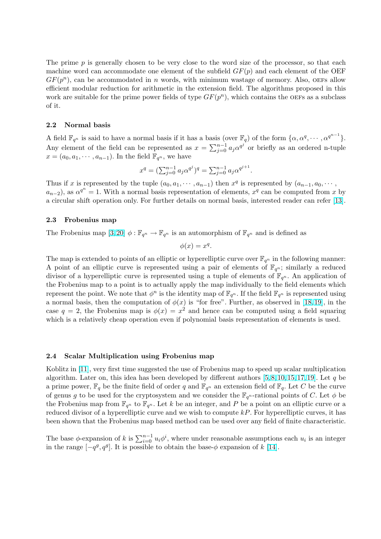The prime  $p$  is generally chosen to be very close to the word size of the processor, so that each machine word can accommodate one element of the subfield  $GF(p)$  and each element of the OEF  $GF(p^n)$ , can be accommodated in n words, with minimum wastage of memory. Also, OEFs allow efficient modular reduction for arithmetic in the extension field. The algorithms proposed in this work are suitable for the prime power fields of type  $GF(p^n)$ , which contains the OEFs as a subclass of it.

#### 2.2 Normal basis

A field  $\mathbb{F}_{q^n}$  is said to have a normal basis if it has a basis (over  $\mathbb{F}_q$ ) of the form  $\{\alpha, \alpha^q, \cdots, \alpha^{q^{n-1}}\}$ . Any element of the field can be represented as  $x = \sum_{i=0}^{n-1}$  $j=0$   $a_j \alpha^{q^j}$  or briefly as an ordered n-tuple  $x = (a_0, a_1, \dots, a_{n-1})$ . In the field  $\mathbb{F}_{q^n}$ , we have

$$
x^{q} = \left(\sum_{j=0}^{n-1} a_{j} \alpha^{q^{j}}\right)^{q} = \sum_{j=0}^{n-1} a_{j} \alpha^{q^{j+1}}.
$$

Thus if x is represented by the tuple  $(a_0, a_1, \dots, a_{n-1})$  then  $x^q$  is represented by  $(a_{n-1}, a_0, \dots, a_n)$  $a_{n-2}$ ), as  $\alpha^{q^n} = 1$ . With a normal basis representation of elements,  $x^q$  can be computed from x by a circular shift operation only. For further details on normal basis, interested reader can refer [13].

#### 2.3 Frobenius map

The Frobenius map  $[3, 20]$   $\phi : \mathbb{F}_{q^n} \to \mathbb{F}_{q^n}$  is an automorphism of  $\mathbb{F}_{q^n}$  and is defined as

$$
\phi(x) = x^q.
$$

The map is extended to points of an elliptic or hyperelliptic curve over  $\mathbb{F}_{q^n}$  in the following manner: A point of an ellipt[ic cur](#page-9-0)ve is represented using a pair of elements of  $\mathbb{F}_{q^n}$ ; similarly a reduced divisor of a hyperelliptic curve is represented using a tuple of elements of  $\mathbb{F}_{q^n}$ . An application of the Frobenius map to a point is to actually apply the map individually to the field elements which represent the point. We note that  $\phi^n$  is the identity map of  $\mathbb{F}_{q^n}$ . If the field  $\mathbb{F}_{q^n}$  is represented using a normal basis, then the computation of  $\phi(x)$  is "for free". Further, as observed in [18, 19], in the case  $q = 2$ , the Frobenius map is  $\phi(x) = x^2$  and hence can be computed using a field squaring which is a relatively cheap operation even if polynomial basis representation of elements is used.

#### 2.4 Scalar Multiplication using Frobenius map

Koblitz in [11], very first time suggested the use of Frobenius map to speed up scalar multiplication algorithm. Later on, this idea has been developed by different authors [5, 8, 10, 15, 17, 19]. Let q be a prime power,  $\mathbb{F}_q$  be the finite field of order q and  $\mathbb{F}_{q^n}$  an extension field of  $\mathbb{F}_q$ . Let C be the curve of genus g to be used for the cryptosystem and we consider the  $\mathbb{F}_{q^n}$ -rational points of C. Let  $\phi$  be the Froben[ius](#page-9-0) map from  $\mathbb{F}_{q^n}$  to  $\mathbb{F}_{q^n}$ . Let k be an integer, and P be a point on an elliptic curve or a reduced divisor of a [hyperelliptic](#page-9-0) [cur](#page-9-0)ve and we wish to compute  $kP$ . For hyperelliptic curves, it has been shown that the Frobenius map based method can be used over any field of finite characteristic.

The base  $\phi$ -expansion of k is  $\sum_{i=0}^{n-1} u_i \phi^i$ , where under reasonable assumptions each  $u_i$  is an integer in the range  $[-q^g, q^g]$ . It is possible to obtain the base- $\phi$  expansion of k [14].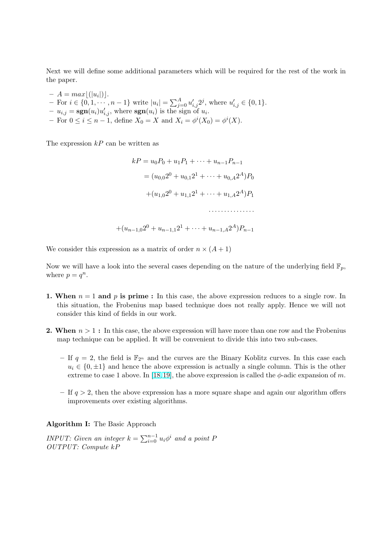Next we will define some additional parameters which will be required for the rest of the work in the paper.

 $- A = max[(|u_i|)]$ .  $- A = max[(\overline{u_i}])].$ <br>  $-$  For  $i \in \{0, 1, \cdots, n-1\}$  write  $|u_i| = \sum_{i=1}^A$  $_{j=0}^{A} u'_{i,j} 2^{j}$ , where  $u'_{i,j} \in \{0,1\}.$  $-u_{i,j} = \text{sgn}(u_i)u'_{i,j}$ , where  $\text{sgn}(u_i)$  is the sign of  $u_i$ .  $-$  For 0 ≤ *i* ≤ *n* − 1, define  $X_0 = X$  and  $X_i = φ^i(X_0) = φ^i(X)$ .

The expression  $kP$  can be written as

$$
kP = u_0 P_0 + u_1 P_1 + \dots + u_{n-1} P_{n-1}
$$
  
=  $(u_{0,0} 2^0 + u_{0,1} 2^1 + \dots + u_{0,A} 2^A) P_0$   
+  $(u_{1,0} 2^0 + u_{1,1} 2^1 + \dots + u_{1,A} 2^A) P_1$   
........  
+ $(u_{n-1,0} 2^0 + u_{n-1,1} 2^1 + \dots + u_{n-1,A} 2^A) P_{n-1}$ 

We consider this expression as a matrix of order  $n \times (A + 1)$ 

Now we will have a look into the several cases depending on the nature of the underlying field  $\mathbb{F}_p$ , where  $p = q^n$ .

- 1. When  $n = 1$  and p is prime : In this case, the above expression reduces to a single row. In this situation, the Frobenius map based technique does not really apply. Hence we will not consider this kind of fields in our work.
- **2. When**  $n > 1$ : In this case, the above expression will have more than one row and the Frobenius map technique can be applied. It will be convenient to divide this into two sub-cases.
	- If  $q = 2$ , the field is  $\mathbb{F}_{2^n}$  and the curves are the Binary Koblitz curves. In this case each  $u_i \in \{0, \pm 1\}$  and hence the above expression is actually a single column. This is the other extreme to case 1 above. In [18,19], the above expression is called the  $\phi$ -adic expansion of m.
	- If  $q > 2$ , then the above expression has a more square shape and again our algorithm offers improvements over existing algorithms.

Algorithm I: The Basic Approach

INPUT: Given an integer  $k = \sum_{i=0}^{n-1}$  $_{i=0}^{n-1}$   $u_i\phi^i$  and a point F OUTPUT: Compute kP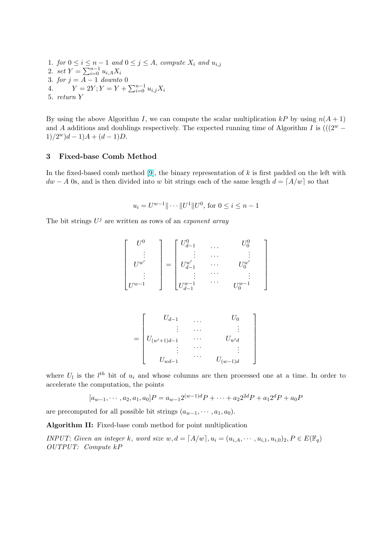1. for  $0 \leq i \leq n-1$  and  $0 \leq j \leq A$ , compute  $X_i$  and  $u_{i,j}$ 1.  $\int \frac{\partial F}{\partial t} \, dt \leq t \leq n^{-1}$ <br>2.  $\int \frac{\partial F}{\partial t} \, dt = \sum_{i=0}^{n-1}$  $_{i=0}^{n-1} u_{i,A} X_i$ 3. for  $j = A - 1$  downto 0 3. for  $y = A - 1$  abount b 0<br>4.  $Y = 2Y; Y = Y + \sum_{i=0}^{n-1}$  $_{i=0}^{n-1} u_{i,j} X_i$ 5. return Y

By using the above Algorithm I, we can compute the scalar multiplication kP by using  $n(A + 1)$ and A additions and doublings respectively. The expected running time of Algorithm I is  $((2^w 1)/2^w$ ) $d-1$ ) $A + (d-1)D$ .

## 3 Fixed-base Comb Method

In the fixed-based comb method  $[9]$ , the binary representation of k is first padded on the left with  $dw - A$  0s, and is then divided into w bit strings each of the same length  $d = [A/w]$  so that

$$
u_i = U^{w-1} \| \cdots \| U^1 \| U^0
$$
, for  $0 \le i \le n-1$ 

The bit strings  $U^j$  are written as rows of an exponent array

$$
\begin{bmatrix}\nU^0 \\
\vdots \\
U^{w'} \\
\vdots \\
U^{w-1}\n\end{bmatrix} = \begin{bmatrix}\nU_{d-1}^0 & \dots & U_0^0 \\
\vdots & \dots & \vdots \\
U_{d-1}^{w'} & \dots & U_0^{w'} \\
\vdots & \vdots & \ddots & \vdots \\
U_{d-1}^{w-1} & \dots & U_0^{w-1}\n\end{bmatrix}
$$

$$
= \begin{bmatrix} U_{d-1} & \dots & U_0 \\ \vdots & \dots & \vdots \\ U_{(w'+1)d-1} & \dots & U_{w'd} \\ \vdots & \dots & \vdots \\ U_{wd-1} & \dots & U_{(w-1)d} \end{bmatrix}
$$

where  $U_l$  is the  $l^{th}$  bit of  $u_i$  and whose columns are then processed one at a time. In order to accelerate the computation, the points

$$
[a_{w-1}, \cdots, a_2, a_1, a_0]P = a_{w-1}2^{(w-1)d}P + \cdots + a_22^{2d}P + a_12^dP + a_0P
$$

are precomputed for all possible bit strings  $(a_{w-1}, \dots, a_1, a_0)$ .

Algorithm II: Fixed-base comb method for point multiplication

INPUT: Given an integer k, word size  $w, d = [A/w], u_i = (u_{i,A}, \dots, u_{i,1}, u_{i,0})_2, P \in E(\mathbb{F}_q)$ OUTPUT: Compute kP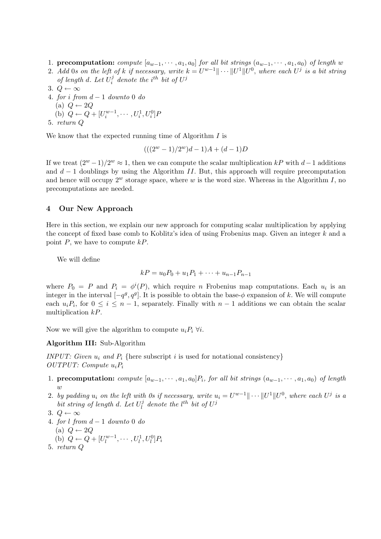- 1. precomputation: compute  $[a_{w-1}, \cdots, a_1, a_0]$  for all bit strings  $(a_{w-1}, \cdots, a_1, a_0)$  of length w
- 2. Add 0s on the left of k if necessary, write  $k = U^{w-1} \| \cdots \| U^1 \| U^0$ , where each  $U^j$  is a bit string of length d. Let  $U_i^j$  $i$  denote the i<sup>th</sup> bit of  $U^j$
- 3.  $Q \leftarrow \infty$
- 4. for i from  $d-1$  downto 0 do (a)  $Q \leftarrow 2Q$ (b)  $Q \leftarrow Q + [U_i^{w-1}, \cdots, U_i^1, U_i^0]F$ 5. return Q

We know that the expected running time of Algorithm  $I$  is

$$
(((2^w - 1)/2^w)d - 1)A + (d - 1)D
$$

If we treat  $(2^w-1)/2^w \approx 1$ , then we can compute the scalar multiplication kP with d-1 additions and  $d-1$  doublings by using the Algorithm II. But, this approach will require precomputation and hence will occupy  $2^w$  storage space, where w is the word size. Whereas in the Algorithm I, no precomputations are needed.

### 4 Our New Approach

Here in this section, we explain our new approach for computing scalar multiplication by applying the concept of fixed base comb to Koblitz's idea of using Frobenius map. Given an integer k and a point  $P$ , we have to compute  $kP$ .

We will define

$$
kP = u_0P_0 + u_1P_1 + \dots + u_{n-1}P_{n-1}
$$

where  $P_0 = P$  and  $P_i = \phi^i(P)$ , which require n Frobenius map computations. Each  $u_i$  is an integer in the interval  $[-q^g, q^g]$ . It is possible to obtain the base- $\phi$  expansion of k. We will compute each  $u_iP_i$ , for  $0 \leq i \leq n-1$ , separately. Finally with  $n-1$  additions we can obtain the scalar multiplication kP.

Now we will give the algorithm to compute  $u_iP_i \forall i$ .

#### Algorithm III: Sub-Algorithm

INPUT: Given  $u_i$  and  $P_i$  {here subscript i is used for notational consistency} OUTPUT: Compute  $u_iP_i$ 

- 1. precomputation: compute  $[a_{w-1}, \cdots, a_1, a_0]P_i$ , for all bit strings  $(a_{w-1}, \cdots, a_1, a_0)$  of length w
- 2. by padding  $u_i$  on the left with 0s if necessary, write  $u_i = U^{w-1} \| \cdots \| U^1 \| U^0$ , where each  $U^j$  is a bit string of length d. Let  $U_l^j$  $l_l^j$  denote the  $l^{th}$  bit of  $U^j$
- 3.  $Q \leftarrow \infty$
- 4. for l from  $d-1$  downto 0 do
	- (a)  $Q \leftarrow 2Q$
	- (b)  $Q \leftarrow Q + [U_l^{w-1}]$  $U_l^{w-1}, \cdots, U_l^1, U_l^0]P_i$
- 5. return Q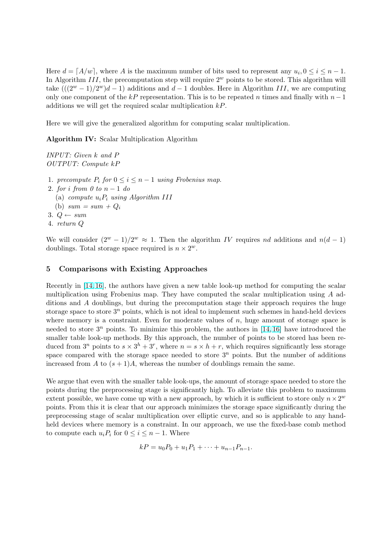Here  $d = [A/w]$ , where A is the maximum number of bits used to represent any  $u_i, 0 \le i \le n - 1$ . In Algorithm III, the precomputation step will require  $2^w$  points to be stored. This algorithm will take  $(((2^w - 1)/2^w)d - 1)$  additions and  $d - 1$  doubles. Here in Algorithm III, we are computing only one component of the kP representation. This is to be repeated n times and finally with  $n-1$ additions we will get the required scalar multiplication kP.

Here we will give the generalized algorithm for computing scalar multiplication.

Algorithm IV: Scalar Multiplication Algorithm

INPUT: Given k and P OUTPUT: Compute kP

- 1. precompute  $P_i$  for  $0 \le i \le n-1$  using Frobenius map.
- 2. for i from 0 to  $n-1$  do
	- (a) compute  $u_iP_i$  using Algorithm III
	- (b)  $sum = sum + Q_i$
- 3.  $Q \leftarrow sum$
- 4. return Q

We will consider  $(2^w - 1)/2^w \approx 1$ . Then the algorithm IV requires nd additions and  $n(d-1)$ doublings. Total storage space required is  $n \times 2^w$ .

## 5 Comparisons with Existing Approaches

Recently in [14, 16], the authors have given a new table look-up method for computing the scalar multiplication using Frobenius map. They have computed the scalar multiplication using A additions and A doublings, but during the precomputation stage their approach requires the huge storage space to store  $3<sup>n</sup>$  points, which is not ideal to implement such schemes in hand-held devices where mem[ory is a](#page-9-0) constraint. Even for moderate values of  $n$ , huge amount of storage space is needed to store  $3^n$  points. To minimize this problem, the authors in [14, 16] have introduced the smaller table look-up methods. By this approach, the number of points to be stored has been reduced from  $3^n$  points to  $s \times 3^h + 3^r$ , where  $n = s \times h + r$ , which requires significantly less storage space compared with the storage space needed to store  $3<sup>n</sup>$  points. But the number of additions increased from A to  $(s + 1)A$ , whereas the number of doublings remai[n the s](#page-9-0)ame.

We argue that even with the smaller table look-ups, the amount of storage space needed to store the points during the preprocessing stage is significantly high. To alleviate this problem to maximum extent possible, we have come up with a new approach, by which it is sufficient to store only  $n \times 2^w$ points. From this it is clear that our approach minimizes the storage space significantly during the preprocessing stage of scalar multiplication over elliptic curve, and so is applicable to any handheld devices where memory is a constraint. In our approach, we use the fixed-base comb method to compute each  $u_iP_i$  for  $0 \leq i \leq n-1$ . Where

$$
kP = u_0P_0 + u_1P_1 + \dots + u_{n-1}P_{n-1}.
$$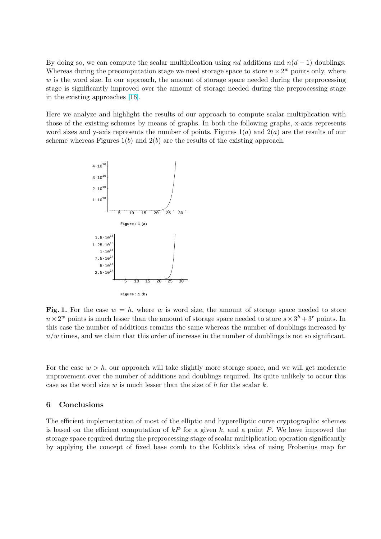By doing so, we can compute the scalar multiplication using nd additions and  $n(d-1)$  doublings. Whereas during the precomputation stage we need storage space to store  $n \times 2^w$  points only, where  $w$  is the word size. In our approach, the amount of storage space needed during the preprocessing stage is significantly improved over the amount of storage needed during the preprocessing stage in the existing approaches [16].

Here we analyze and highlight the results of our approach to compute scalar multiplication with those of the existing schemes by means of graphs. In both the following graphs, x-axis represents word sizes and y-axis repre[sen](#page-9-0)ts the number of points. Figures  $1(a)$  and  $2(a)$  are the results of our scheme whereas Figures  $1(b)$  and  $2(b)$  are the results of the existing approach.



Fig. 1. For the case  $w = h$ , where w is word size, the amount of storage space needed to store  $n \times 2^w$  points is much lesser than the amount of storage space needed to store  $s \times 3^h + 3^r$  points. In this case the number of additions remains the same whereas the number of doublings increased by  $n/w$  times, and we claim that this order of increase in the number of doublings is not so significant.

For the case  $w > h$ , our approach will take slightly more storage space, and we will get moderate improvement over the number of additions and doublings required. Its quite unlikely to occur this case as the word size w is much lesser than the size of h for the scalar k.

## 6 Conclusions

The efficient implementation of most of the elliptic and hyperelliptic curve cryptographic schemes is based on the efficient computation of  $kP$  for a given k, and a point P. We have improved the storage space required during the preprocessing stage of scalar multiplication operation significantly by applying the concept of fixed base comb to the Koblitz's idea of using Frobenius map for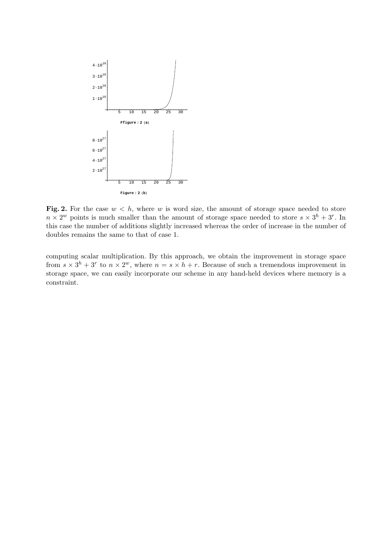

Fig. 2. For the case  $w < h$ , where w is word size, the amount of storage space needed to store  $n \times 2^w$  points is much smaller than the amount of storage space needed to store  $s \times 3^h + 3^r$ . In this case the number of additions slightly increased whereas the order of increase in the number of doubles remains the same to that of case 1.

computing scalar multiplication. By this approach, we obtain the improvement in storage space from  $s \times 3^h + 3^r$  to  $n \times 2^w$ , where  $n = s \times h + r$ . Because of such a tremendous improvement in storage space, we can easily incorporate our scheme in any hand-held devices where memory is a constraint.